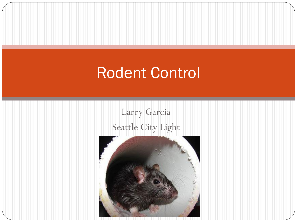### Rodent Control

Larry Garcia Seattle City Light

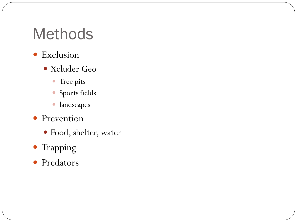### Methods

- Exclusion
	- Xcluder Geo
		- Tree pits
		- Sports fields
		- landscapes
- Prevention
	- Food, shelter, water
- Trapping
- Predators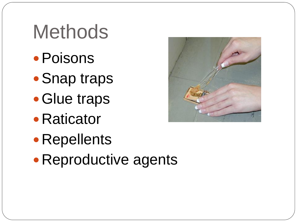# **Methods**

- Poisons
- Snap traps
- Glue traps
- Raticator
- Repellents
- Reproductive agents

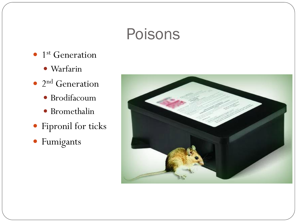### Poisons

- $\bullet$  1<sup>st</sup> Generation
	- · Warfarin
- $\bullet$  2<sup>nd</sup> Generation
	- · Brodifacoum
	- · Bromethalin
- · Fipronil for ticks
- · Fumigants

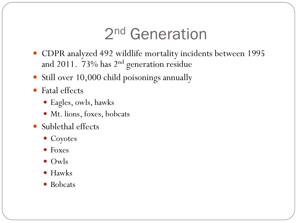## 2 nd Generation

- CDPR analyzed 492 wildlife mortality incidents between 1995 and 2011. 73% has 2<sup>nd</sup> generation residue
- Still over 10,000 child poisonings annually
- Fatal effects
	- Eagles, owls, hawks
	- Mt. lions, foxes, bobcats
- Sublethal effects
	- Coyotes
	- Foxes
	- Owls
	- Hawks
	- Bobcats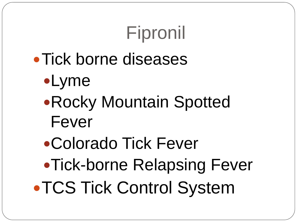# Fipronil

# • Tick borne diseases

- Lyme
- Rocky Mountain Spotted Fever
- Colorado Tick Fever
- Tick-borne Relapsing Fever

**• TCS Tick Control System**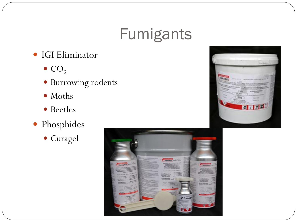## **Fumigants**

#### $\bullet$  IGI Eliminator

- $\bullet$  CO<sub>2</sub>
- · Burrowing rodents
- $\bullet$  Moths
- · Beetles
- · Phosphides
	- · Curagel



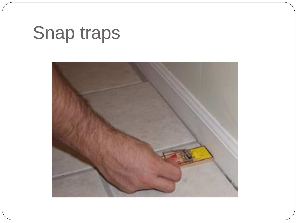# Snap traps

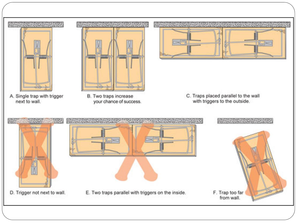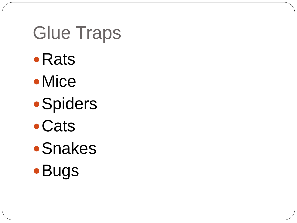# Glue Traps

- Rats
- Mice
- **Spiders**
- Cats
- **•Snakes**
- **Bugs**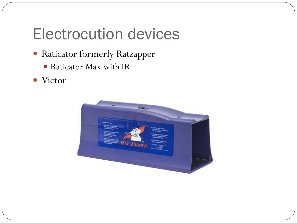## Electrocution devices

- Raticator formerly Ratzapper
	- Raticator Max with IR
- Victor

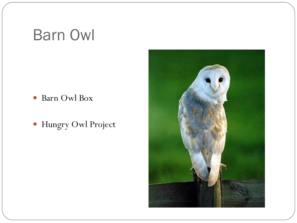## Barn Owl

- Barn Owl Box
- Hungry Owl Project

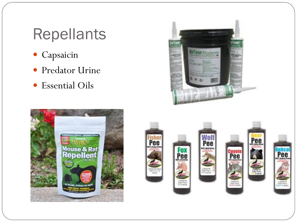## Repellants

- Capsaicin
- Predator Urine
- Essential Oils